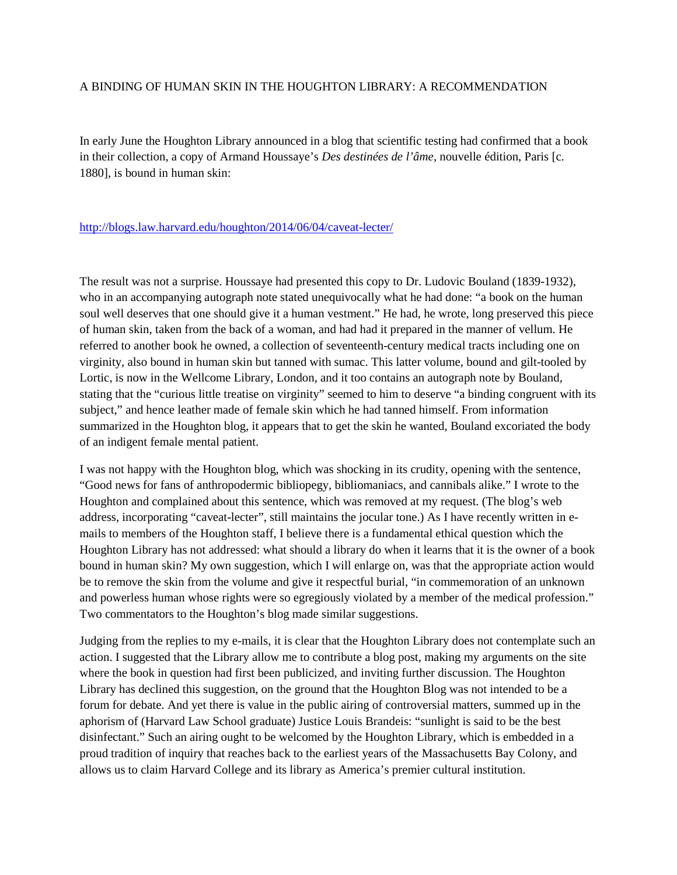## A BINDING OF HUMAN SKIN IN THE HOUGHTON LIBRARY: A RECOMMENDATION

In early June the Houghton Library announced in a blog that scientific testing had confirmed that a book in their collection, a copy of Armand Houssaye's *Des destinées de l'âme*, nouvelle édition, Paris [c. 1880], is bound in human skin:

## <http://blogs.law.harvard.edu/houghton/2014/06/04/caveat-lecter/>

The result was not a surprise. Houssaye had presented this copy to Dr. Ludovic Bouland (1839-1932), who in an accompanying autograph note stated unequivocally what he had done: "a book on the human soul well deserves that one should give it a human vestment." He had, he wrote, long preserved this piece of human skin, taken from the back of a woman, and had had it prepared in the manner of vellum. He referred to another book he owned, a collection of seventeenth-century medical tracts including one on virginity, also bound in human skin but tanned with sumac. This latter volume, bound and gilt-tooled by Lortic, is now in the Wellcome Library, London, and it too contains an autograph note by Bouland, stating that the "curious little treatise on virginity" seemed to him to deserve "a binding congruent with its subject," and hence leather made of female skin which he had tanned himself. From information summarized in the Houghton blog, it appears that to get the skin he wanted, Bouland excoriated the body of an indigent female mental patient.

I was not happy with the Houghton blog, which was shocking in its crudity, opening with the sentence, "Good news for fans of anthropodermic bibliopegy, bibliomaniacs, and cannibals alike." I wrote to the Houghton and complained about this sentence, which was removed at my request. (The blog's web address, incorporating "caveat-lecter", still maintains the jocular tone.) As I have recently written in emails to members of the Houghton staff, I believe there is a fundamental ethical question which the Houghton Library has not addressed: what should a library do when it learns that it is the owner of a book bound in human skin? My own suggestion, which I will enlarge on, was that the appropriate action would be to remove the skin from the volume and give it respectful burial, "in commemoration of an unknown and powerless human whose rights were so egregiously violated by a member of the medical profession." Two commentators to the Houghton's blog made similar suggestions.

Judging from the replies to my e-mails, it is clear that the Houghton Library does not contemplate such an action. I suggested that the Library allow me to contribute a blog post, making my arguments on the site where the book in question had first been publicized, and inviting further discussion. The Houghton Library has declined this suggestion, on the ground that the Houghton Blog was not intended to be a forum for debate. And yet there is value in the public airing of controversial matters, summed up in the aphorism of (Harvard Law School graduate) Justice Louis Brandeis: "sunlight is said to be the best disinfectant." Such an airing ought to be welcomed by the Houghton Library, which is embedded in a proud tradition of inquiry that reaches back to the earliest years of the Massachusetts Bay Colony, and allows us to claim Harvard College and its library as America's premier cultural institution.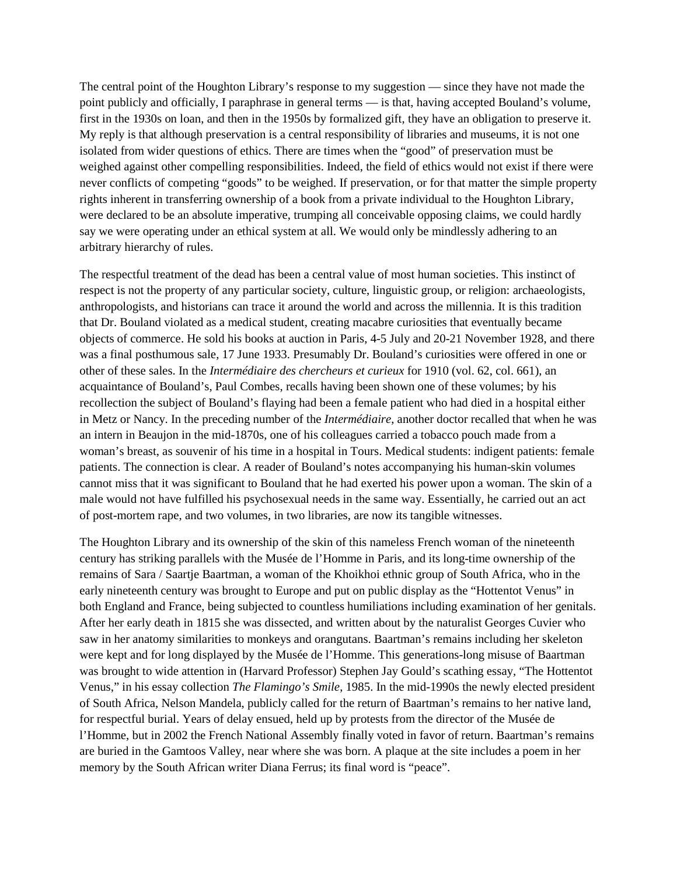The central point of the Houghton Library's response to my suggestion — since they have not made the point publicly and officially, I paraphrase in general terms — is that, having accepted Bouland's volume, first in the 1930s on loan, and then in the 1950s by formalized gift, they have an obligation to preserve it. My reply is that although preservation is a central responsibility of libraries and museums, it is not one isolated from wider questions of ethics. There are times when the "good" of preservation must be weighed against other compelling responsibilities. Indeed, the field of ethics would not exist if there were never conflicts of competing "goods" to be weighed. If preservation, or for that matter the simple property rights inherent in transferring ownership of a book from a private individual to the Houghton Library, were declared to be an absolute imperative, trumping all conceivable opposing claims, we could hardly say we were operating under an ethical system at all. We would only be mindlessly adhering to an arbitrary hierarchy of rules.

The respectful treatment of the dead has been a central value of most human societies. This instinct of respect is not the property of any particular society, culture, linguistic group, or religion: archaeologists, anthropologists, and historians can trace it around the world and across the millennia. It is this tradition that Dr. Bouland violated as a medical student, creating macabre curiosities that eventually became objects of commerce. He sold his books at auction in Paris, 4-5 July and 20-21 November 1928, and there was a final posthumous sale, 17 June 1933. Presumably Dr. Bouland's curiosities were offered in one or other of these sales. In the *Intermédiaire des chercheurs et curieux* for 1910 (vol. 62, col. 661), an acquaintance of Bouland's, Paul Combes, recalls having been shown one of these volumes; by his recollection the subject of Bouland's flaying had been a female patient who had died in a hospital either in Metz or Nancy. In the preceding number of the *Intermédiaire*, another doctor recalled that when he was an intern in Beaujon in the mid-1870s, one of his colleagues carried a tobacco pouch made from a woman's breast, as souvenir of his time in a hospital in Tours. Medical students: indigent patients: female patients. The connection is clear. A reader of Bouland's notes accompanying his human-skin volumes cannot miss that it was significant to Bouland that he had exerted his power upon a woman. The skin of a male would not have fulfilled his psychosexual needs in the same way. Essentially, he carried out an act of post-mortem rape, and two volumes, in two libraries, are now its tangible witnesses.

The Houghton Library and its ownership of the skin of this nameless French woman of the nineteenth century has striking parallels with the Musée de l'Homme in Paris, and its long-time ownership of the remains of Sara / Saartje Baartman, a woman of the Khoikhoi ethnic group of South Africa, who in the early nineteenth century was brought to Europe and put on public display as the "Hottentot Venus" in both England and France, being subjected to countless humiliations including examination of her genitals. After her early death in 1815 she was dissected, and written about by the naturalist Georges Cuvier who saw in her anatomy similarities to monkeys and orangutans. Baartman's remains including her skeleton were kept and for long displayed by the Musée de l'Homme. This generations-long misuse of Baartman was brought to wide attention in (Harvard Professor) Stephen Jay Gould's scathing essay, "The Hottentot Venus," in his essay collection *The Flamingo's Smile*, 1985. In the mid-1990s the newly elected president of South Africa, Nelson Mandela, publicly called for the return of Baartman's remains to her native land, for respectful burial. Years of delay ensued, held up by protests from the director of the Musée de l'Homme, but in 2002 the French National Assembly finally voted in favor of return. Baartman's remains are buried in the Gamtoos Valley, near where she was born. A plaque at the site includes a poem in her memory by the South African writer Diana Ferrus; its final word is "peace".